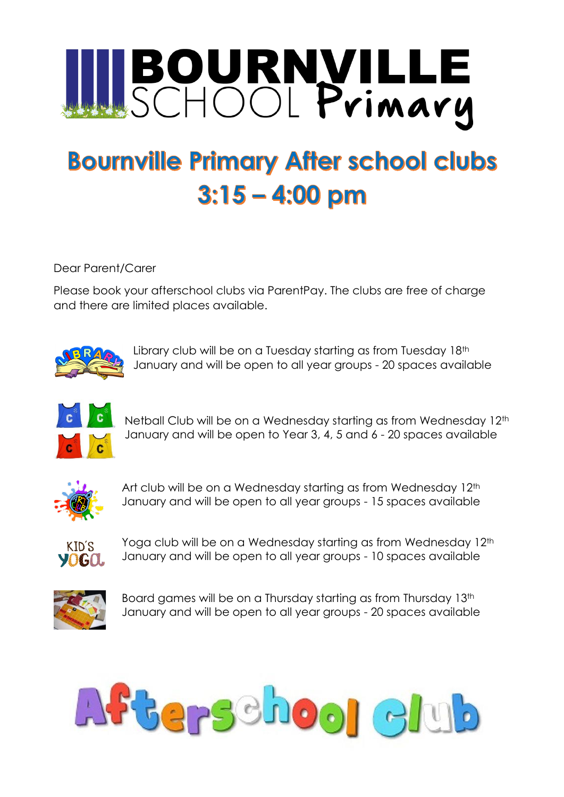

## **Bournville Primary After school clubs**  $3:15 - 4:00$  pm

Dear Parent/Carer

Please book your afterschool clubs via ParentPay. The clubs are free of charge and there are limited places available.



Library club will be on a Tuesday starting as from Tuesday 18<sup>th</sup> January and will be open to all year groups - 20 spaces available



Netball Club will be on a Wednesday starting as from Wednesday 12<sup>th</sup> January and will be open to Year 3, 4, 5 and 6 - 20 spaces available



Art club will be on a Wednesday starting as from Wednesday 12<sup>th</sup> January and will be open to all year groups - 15 spaces available



Yoga club will be on a Wednesday starting as from Wednesday 12<sup>th</sup> January and will be open to all year groups - 10 spaces available



Board games will be on a Thursday starting as from Thursday 13<sup>th</sup> January and will be open to all year groups - 20 spaces available